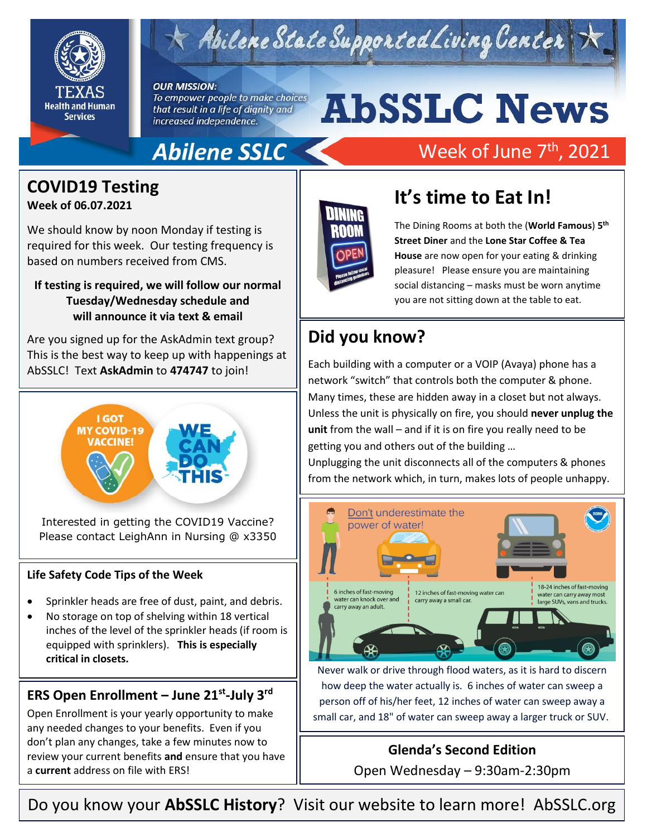

## $\times$  Abilene State Supported Living Center

#### **OUR MISSION:**

To empower people to make choices that result in a life of dignity and increased independence.

# **AbSSLC News**

## Abilene SSLC

## Week of June 7<sup>th</sup>, 2021

### **COVID19 Testing**

#### **Week of 06.07.2021**

We should know by noon Monday if testing is required for this week. Our testing frequency is based on numbers received from CMS.

#### **If testing is required, we will follow our normal Tuesday/Wednesday schedule and will announce it via text & email**

Are you signed up for the AskAdmin text group? This is the best way to keep up with happenings at AbSSLC! Text **AskAdmin** to **474747** to join!



Interested in getting the COVID19 Vaccine? Please contact LeighAnn in Nursing @ x3350

#### **Life Safety Code Tips of the Week**

- Sprinkler heads are free of dust, paint, and debris.
- No storage on top of shelving within 18 vertical inches of the level of the sprinkler heads (if room is equipped with sprinklers). **This is especially critical in closets.**

#### **ERS Open Enrollment – June 21st -July 3rd**

Open Enrollment is your yearly opportunity to make any needed changes to your benefits. Even if you don't plan any changes, take a few minutes now to review your current benefits **and** ensure that you have a **current** address on file with ERS!



## **It's time to Eat In!**

The Dining Rooms at both the (**World Famous**) **5 th Street Diner** and the **Lone Star Coffee & Tea House** are now open for your eating & drinking pleasure! Please ensure you are maintaining social distancing – masks must be worn anytime you are not sitting down at the table to eat.

## **Did you know?**

Unless the unit is physically on fire, you should **never unplug the** unit from the unit of the **last of the set of the set of the set of the set of the set of the set of the set of the set of the set of the set of the set** Each building with a computer or a VOIP (Avaya) phone has a network "switch" that controls both the computer & phone. Many times, these are hidden away in a closet but not always. **unit** from the wall – and if it is on fire you really need to be getting you and others out of the building …

Unplugging the unit disconnects all of the computers & phones from the network which, in turn, makes lots of people unhappy.



Never walk or drive through flood waters, as it is hard to discern how deep the water actually is. 6 inches of water can sweep a person off of his/her feet, 12 inches of water can sweep away a small car, and 18" of water can sweep away a larger truck or SUV.

#### **Glenda's Second Edition**

Open Wednesday – 9:30am-2:30pm

Do you know your **AbSSLC History**? Visit our website to learn more!AbSSLC.org